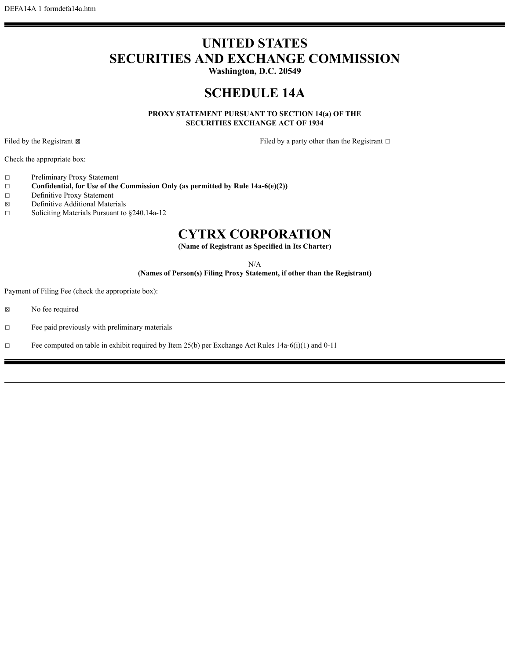## **UNITED STATES SECURITIES AND EXCHANGE COMMISSION**

**Washington, D.C. 20549**

## **SCHEDULE 14A**

**PROXY STATEMENT PURSUANT TO SECTION 14(a) OF THE SECURITIES EXCHANGE ACT OF 1934**

Filed by the Registrant ⊠ Filed by a party other than the Registrant □

Check the appropriate box:

- ☐ Preliminary Proxy Statement
- ☐ **Confidential, for Use of the Commission Only (as permitted by Rule 14a-6(e)(2))**
- ☐ Definitive Proxy Statement
- ☒ Definitive Additional Materials
- ☐ Soliciting Materials Pursuant to §240.14a-12

## **CYTRX CORPORATION**

**(Name of Registrant as Specified in Its Charter)**

N/A

**(Names of Person(s) Filing Proxy Statement, if other than the Registrant)**

Payment of Filing Fee (check the appropriate box):

- ☒ No fee required
- ☐ Fee paid previously with preliminary materials
- □ Fee computed on table in exhibit required by Item 25(b) per Exchange Act Rules  $14a-6(i)(1)$  and  $0-11$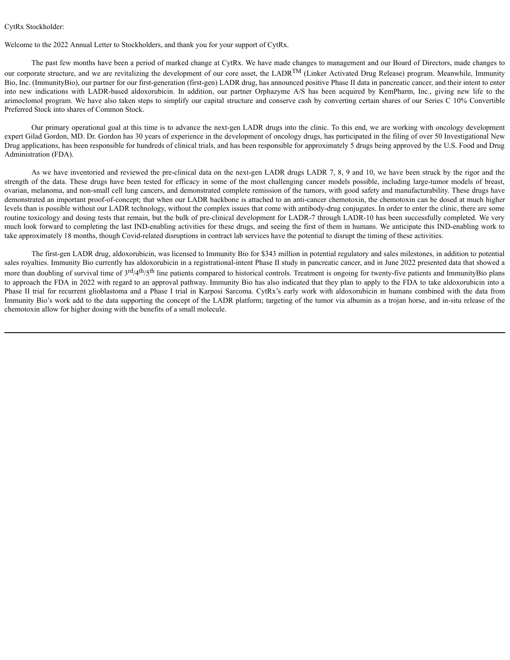## CytRx Stockholder:

Welcome to the 2022 Annual Letter to Stockholders, and thank you for your support of CytRx.

The past few months have been a period of marked change at CytRx. We have made changes to management and our Board of Directors, made changes to our corporate structure, and we are revitalizing the development of our core asset, the LADR<sup>TM</sup> (Linker Activated Drug Release) program. Meanwhile, Immunity Bio, Inc. (ImmunityBio), our partner for our first-generation (first-gen) LADR drug, has announced positive Phase II data in pancreatic cancer, and their intent to enter into new indications with LADR-based aldoxorubicin. In addition, our partner Orphazyme A/S has been acquired by KemPharm, Inc., giving new life to the arimoclomol program. We have also taken steps to simplify our capital structure and conserve cash by converting certain shares of our Series C 10% Convertible Preferred Stock into shares of Common Stock.

Our primary operational goal at this time is to advance the next-gen LADR drugs into the clinic. To this end, we are working with oncology development expert Gilad Gordon, MD. Dr. Gordon has 30 years of experience in the development of oncology drugs, has participated in the filing of over 50 Investigational New Drug applications, has been responsible for hundreds of clinical trials, and has been responsible for approximately 5 drugs being approved by the U.S. Food and Drug Administration (FDA).

As we have inventoried and reviewed the pre-clinical data on the next-gen LADR drugs LADR 7, 8, 9 and 10, we have been struck by the rigor and the strength of the data. These drugs have been tested for efficacy in some of the most challenging cancer models possible, including large-tumor models of breast, ovarian, melanoma, and non-small cell lung cancers, and demonstrated complete remission of the tumors, with good safety and manufacturability. These drugs have demonstrated an important proof-of-concept; that when our LADR backbone is attached to an anti-cancer chemotoxin, the chemotoxin can be dosed at much higher levels than is possible without our LADR technology, without the complex issues that come with antibody-drug conjugates. In order to enter the clinic, there are some routine toxicology and dosing tests that remain, but the bulk of pre-clinical development for LADR-7 through LADR-10 has been successfully completed. We very much look forward to completing the last IND-enabling activities for these drugs, and seeing the first of them in humans. We anticipate this IND-enabling work to take approximately 18 months, though Covid-related disruptions in contract lab services have the potential to disrupt the timing of these activities.

The first-gen LADR drug, aldoxorubicin, was licensed to Immunity Bio for \$343 million in potential regulatory and sales milestones, in addition to potential sales royalties. Immunity Bio currently has aldoxorubicin in a registrational-intent Phase II study in pancreatic cancer, and in June 2022 presented data that showed a more than doubling of survival time of 3<sup>rd</sup>/4<sup>th</sup>/5<sup>th</sup> line patients compared to historical controls. Treatment is ongoing for twenty-five patients and ImmunityBio plans to approach the FDA in 2022 with regard to an approval pathway. Immunity Bio has also indicated that they plan to apply to the FDA to take aldoxorubicin into a Phase II trial for recurrent glioblastoma and a Phase I trial in Karposi Sarcoma. CytRx's early work with aldoxorubicin in humans combined with the data from Immunity Bio's work add to the data supporting the concept of the LADR platform; targeting of the tumor via albumin as a trojan horse, and in-situ release of the chemotoxin allow for higher dosing with the benefits of a small molecule.